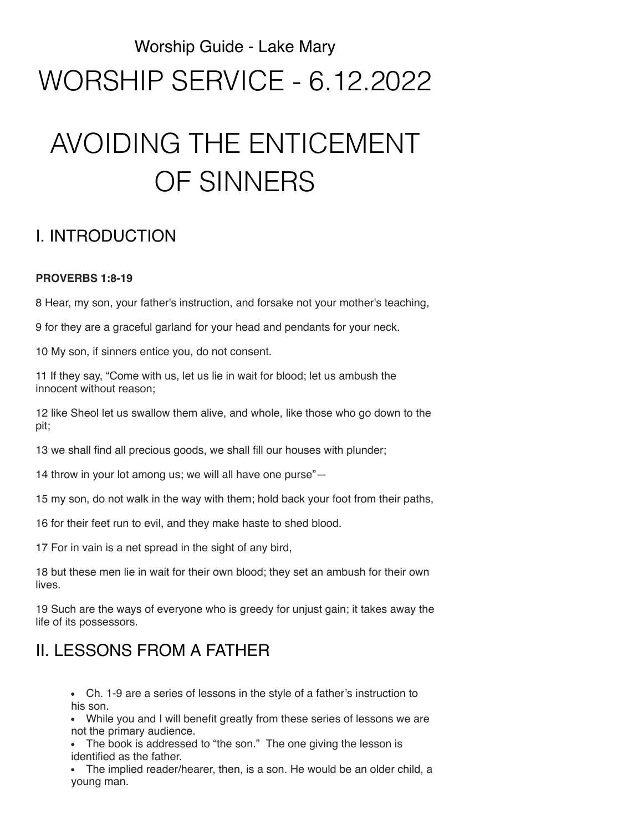## Worship Guide - Lake Mary WORSHIP SERVICE - 6.12.2022

# AVOIDING THE ENTICEMENT OF SINNERS

## I. INTRODUCTION

#### **PROVERBS 1:8-19**

8 Hear, my son, your father's instruction, and forsake not your mother's teaching,

9 for they are a graceful garland for your head and pendants for your neck.

10 My son, if sinners entice you, do not consent.

11 If they say, "Come with us, let us lie in wait for blood; let us ambush the innocent without reason;

12 like Sheol let us swallow them alive, and whole, like those who go down to the pit;

13 we shall find all precious goods, we shall fill our houses with plunder;

14 throw in your lot among us; we will all have one purse"—

15 my son, do not walk in the way with them; hold back your foot from their paths,

16 for their feet run to evil, and they make haste to shed blood.

17 For in vain is a net spread in the sight of any bird,

18 but these men lie in wait for their own blood; they set an ambush for their own lives.

19 Such are the ways of everyone who is greedy for unjust gain; it takes away the life of its possessors.

### II. LESSONS FROM A FATHER

Ch. 1-9 are a series of lessons in the style of a father's instruction to his son.

While you and I will benefit greatly from these series of lessons we are not the primary audience.

The book is addressed to "the son." The one giving the lesson is identified as the father.

The implied reader/hearer, then, is a son. He would be an older child, a young man.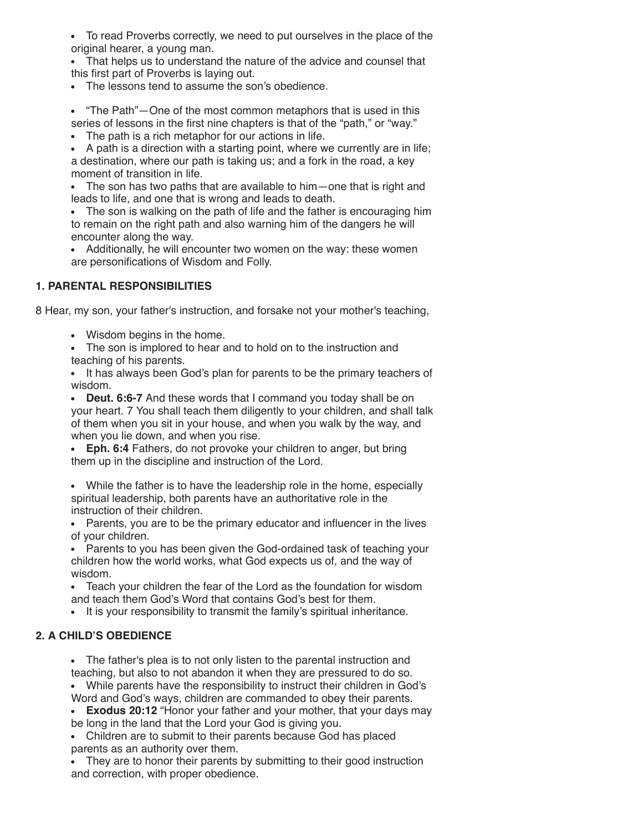- To read Proverbs correctly, we need to put ourselves in the place of the original hearer, a young man.
- That helps us to understand the nature of the advice and counsel that this first part of Proverbs is laying out.
- The lessons tend to assume the son's obedience.
- "The Path"—One of the most common metaphors that is used in this series of lessons in the first nine chapters is that of the "path," or "way."
- The path is a rich metaphor for our actions in life.
- A path is a direction with a starting point, where we currently are in life; a destination, where our path is taking us; and a fork in the road, a key moment of transition in life.
- The son has two paths that are available to him—one that is right and leads to life, and one that is wrong and leads to death.
- The son is walking on the path of life and the father is encouraging him to remain on the right path and also warning him of the dangers he will encounter along the way.
- Additionally, he will encounter two women on the way: these women are personifications of Wisdom and Folly.

#### **1. PARENTAL RESPONSIBILITIES**

8 Hear, my son, your father's instruction, and forsake not your mother's teaching,

- Wisdom begins in the home.
- The son is implored to hear and to hold on to the instruction and teaching of his parents.
- It has always been God's plan for parents to be the primary teachers of wisdom.
- **Deut. 6:6-7** And these words that I command you today shall be on your heart. 7 You shall teach them diligently to your children, and shall talk of them when you sit in your house, and when you walk by the way, and when you lie down, and when you rise.
- **Eph. 6:4** Fathers, do not provoke your children to anger, but bring them up in the discipline and instruction of the Lord.
- While the father is to have the leadership role in the home, especially spiritual leadership, both parents have an authoritative role in the instruction of their children.
- Parents, you are to be the primary educator and influencer in the lives of your children.
- Parents to you has been given the God-ordained task of teaching your children how the world works, what God expects us of, and the way of wisdom.
- Teach your children the fear of the Lord as the foundation for wisdom and teach them God's Word that contains God's best for them.
- It is your responsibility to transmit the family's spiritual inheritance.

#### **2. A CHILD'S OBEDIENCE**

- The father's plea is to not only listen to the parental instruction and teaching, but also to not abandon it when they are pressured to do so.
- While parents have the responsibility to instruct their children in God's Word and God's ways, children are commanded to obey their parents.
- **Exodus 20:12** "Honor your father and your mother, that your days may
- be long in the land that the Lord your God is giving you.
- Children are to submit to their parents because God has placed parents as an authority over them.
- They are to honor their parents by submitting to their good instruction and correction, with proper obedience.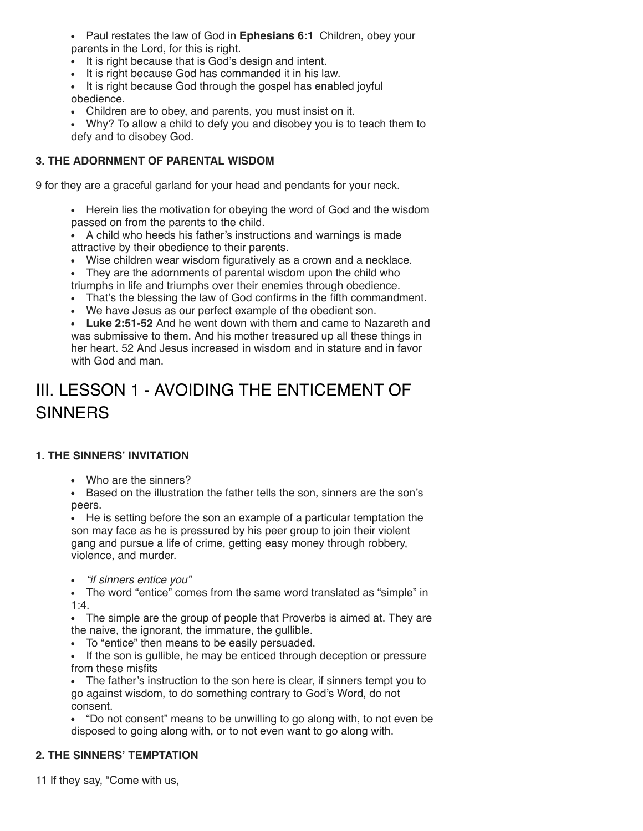Paul restates the law of God in **Ephesians 6:1** Children, obey your parents in the Lord, for this is right.

- It is right because that is God's design and intent.
- It is right because God has commanded it in his law.
- It is right because God through the gospel has enabled joyful obedience.
- Children are to obey, and parents, you must insist on it.
- Why? To allow a child to defy you and disobey you is to teach them to defy and to disobey God.

#### **3. THE ADORNMENT OF PARENTAL WISDOM**

9 for they are a graceful garland for your head and pendants for your neck.

• Herein lies the motivation for obeying the word of God and the wisdom passed on from the parents to the child.

A child who heeds his father's instructions and warnings is made attractive by their obedience to their parents.

- Wise children wear wisdom figuratively as a crown and a necklace.
- They are the adornments of parental wisdom upon the child who triumphs in life and triumphs over their enemies through obedience.
- That's the blessing the law of God confirms in the fifth commandment.
- We have Jesus as our perfect example of the obedient son.
- **Luke 2:51-52** And he went down with them and came to Nazareth and was submissive to them. And his mother treasured up all these things in her heart. 52 And Jesus increased in wisdom and in stature and in favor with God and man

## III. LESSON 1 - AVOIDING THE ENTICEMENT OF **SINNERS**

#### **1. THE SINNERS' INVITATION**

Who are the sinners?

Based on the illustration the father tells the son, sinners are the son's peers.

He is setting before the son an example of a particular temptation the son may face as he is pressured by his peer group to join their violent gang and pursue a life of crime, getting easy money through robbery, violence, and murder.

*"if sinners entice you"*  $\bullet$ 

The word "entice" comes from the same word translated as "simple" in 1:4.

The simple are the group of people that Proverbs is aimed at. They are the naive, the ignorant, the immature, the gullible.

To "entice" then means to be easily persuaded.

If the son is gullible, he may be enticed through deception or pressure from these misfits

The father's instruction to the son here is clear, if sinners tempt you to go against wisdom, to do something contrary to God's Word, do not consent.

"Do not consent" means to be unwilling to go along with, to not even be disposed to going along with, or to not even want to go along with.

#### **2. THE SINNERS' TEMPTATION**

11 If they say, "Come with us,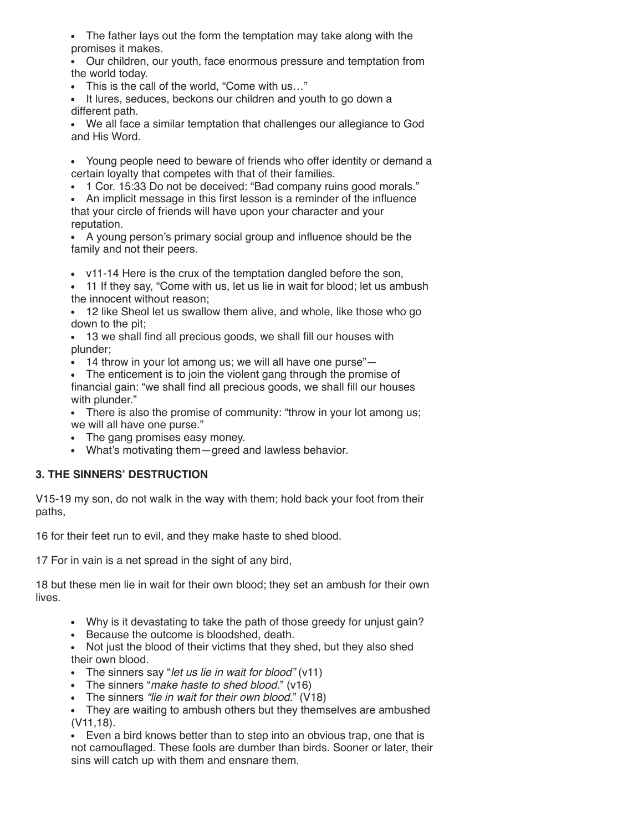The father lays out the form the temptation may take along with the promises it makes.

Our children, our youth, face enormous pressure and temptation from the world today.

- This is the call of the world, "Come with us…"
- It lures, seduces, beckons our children and youth to go down a different path.

We all face a similar temptation that challenges our allegiance to God and His Word.

- Young people need to beware of friends who offer identity or demand a certain loyalty that competes with that of their families.
- 1 Cor. 15:33 Do not be deceived: "Bad company ruins good morals."

An implicit message in this first lesson is a reminder of the influence that your circle of friends will have upon your character and your reputation.

A young person's primary social group and influence should be the family and not their peers.

v11-14 Here is the crux of the temptation dangled before the son,

- 11 If they say, "Come with us, let us lie in wait for blood; let us ambush the innocent without reason;
- 12 like Sheol let us swallow them alive, and whole, like those who go down to the pit;

13 we shall find all precious goods, we shall fill our houses with plunder;

• 14 throw in your lot among us; we will all have one purse"—

The enticement is to join the violent gang through the promise of financial gain: "we shall find all precious goods, we shall fill our houses with plunder."

• There is also the promise of community: "throw in your lot among us; we will all have one purse."

- The gang promises easy money.
- What's motivating them—greed and lawless behavior.

#### **3. THE SINNERS' DESTRUCTION**

V15-19 my son, do not walk in the way with them; hold back your foot from their paths,

16 for their feet run to evil, and they make haste to shed blood.

17 For in vain is a net spread in the sight of any bird,

18 but these men lie in wait for their own blood; they set an ambush for their own lives.

- Why is it devastating to take the path of those greedy for unjust gain?
- Because the outcome is bloodshed, death.

Not just the blood of their victims that they shed, but they also shed their own blood.

- The sinners say "*let us lie in wait for blood"* (v11)
- The sinners "*make haste to shed blood*." (v16)
- The sinners *"lie in wait for their own blood.*" (V18)

They are waiting to ambush others but they themselves are ambushed (V11,18).

Even a bird knows better than to step into an obvious trap, one that is not camouflaged. These fools are dumber than birds. Sooner or later, their sins will catch up with them and ensnare them.